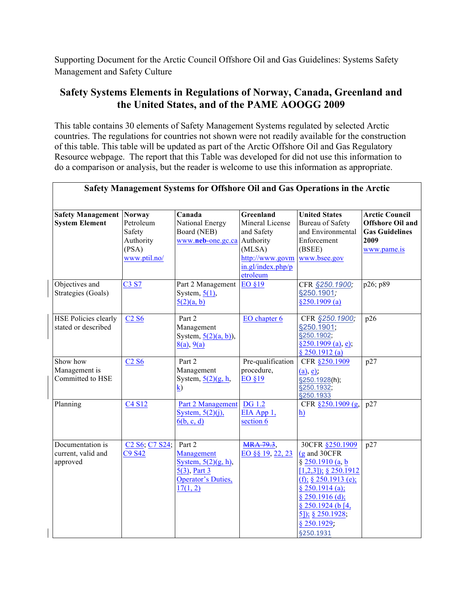Supporting Document for the Arctic Council Offshore Oil and Gas Guidelines: Systems Safety Management and Safety Culture

## **Safety Systems Elements in Regulations of Norway, Canada, Greenland and the United States, and of the PAME AOOGG 2009**

This table contains 30 elements of Safety Management Systems regulated by selected Arctic countries. The regulations for countries not shown were not readily available for the construction of this table. This table will be updated as part of the Arctic Offshore Oil and Gas Regulatory Resource webpage. The report that this Table was developed for did not use this information to do a comparison or analysis, but the reader is welcome to use this information as appropriate.

| <b>Safety Management</b>    | <b>Norway</b>                                                    | Canada                           | Greenland         | <b>United States</b>        | <b>Arctic Council</b>   |
|-----------------------------|------------------------------------------------------------------|----------------------------------|-------------------|-----------------------------|-------------------------|
| <b>System Element</b>       | Petroleum                                                        | National Energy                  | Mineral License   | <b>Bureau of Safety</b>     | <b>Offshore Oil and</b> |
|                             | Safety                                                           | Board (NEB)                      | and Safety        | and Environmental           | <b>Gas Guidelines</b>   |
|                             | Authority                                                        | www.neb-one.gc.ca                | Authority         | Enforcement                 | 2009                    |
|                             | (PSA)                                                            |                                  | (MLSA)            | (BSEE)                      | www.pame.is             |
|                             | www.ptil.no/                                                     |                                  | http://www.govm   | www.bsee.gov                |                         |
|                             |                                                                  |                                  | in.gl/index.php/p |                             |                         |
|                             |                                                                  |                                  | etroleum          |                             |                         |
| Objectives and              | C3 S7                                                            | Part 2 Management                | EO §19            | CFR §250.1900;              | p26; p89                |
| Strategies (Goals)          |                                                                  | System, $5(1)$ ,                 |                   | §250.1901;                  |                         |
|                             |                                                                  | 5(2)(a, b)                       |                   | §250.1909(a)                |                         |
| <b>HSE Policies clearly</b> | <b>C<sub>2</sub> S<sub>6</sub></b>                               | Part 2                           | EO chapter 6      | CFR §250.1900;              | p26                     |
| stated or described         |                                                                  | Management                       |                   | §250.1901;                  |                         |
|                             |                                                                  | System, $\frac{5(2)(a, b)}{b}$ , |                   | §250.1902;                  |                         |
|                             |                                                                  | 8(a), 9(a)                       |                   | $§250.1909$ (a), e);        |                         |
|                             |                                                                  |                                  |                   | § 250.1912(a)               |                         |
| Show how                    | C2S6                                                             | Part 2                           | Pre-qualification | CFR §250.1909               | p27                     |
| Management is               |                                                                  | Management                       | procedure,        | (a), e)                     |                         |
| Committed to HSE            |                                                                  | System, $\frac{5(2)(g, h)}{2}$   | EO §19            | §250.1928(h);               |                         |
|                             |                                                                  | $\bf k)$                         |                   | §250.1932;<br>§250.1933     |                         |
| Planning                    | C <sub>4</sub> S <sub>12</sub>                                   | Part 2 Management                | <b>DG</b> 1.2     | CFR §250.1909 (g,           | p27                     |
|                             |                                                                  | System, $5(2)(i)$ ,              | EIA App 1,        | h)                          |                         |
|                             |                                                                  | 6(b, c, d)                       | section 6         |                             |                         |
|                             |                                                                  |                                  |                   |                             |                         |
| Documentation is            | C <sub>2</sub> S <sub>6</sub> , C <sub>7</sub> S <sub>24</sub> ; | Part 2                           | <b>MRA 79.3</b> , | 30CFR §250.1909             | p27                     |
| current, valid and          | C9 S42                                                           | Management                       | EO §§ 19, 22, 23  | (g and 30CFR)               |                         |
| approved                    |                                                                  | System, $5(2)(g, h)$ ,           |                   | $\S 250.1910$ (a, b         |                         |
|                             |                                                                  | $5(3)$ , Part 3                  |                   | $[1,2,3]$ ; § 250.1912      |                         |
|                             |                                                                  | <b>Operator's Duties,</b>        |                   | (f); $§ 250.1913$ (e);      |                         |
|                             |                                                                  | 17(1, 2)                         |                   | $§$ 250.1914 (a);           |                         |
|                             |                                                                  |                                  |                   | $§$ 250.1916 (d);           |                         |
|                             |                                                                  |                                  |                   | \$250.1924(b4,              |                         |
|                             |                                                                  |                                  |                   | $\frac{5}{3}$ ; § 250.1928; |                         |
|                             |                                                                  |                                  |                   | $§$ 250.1929;               |                         |
|                             |                                                                  |                                  |                   | §250.1931                   |                         |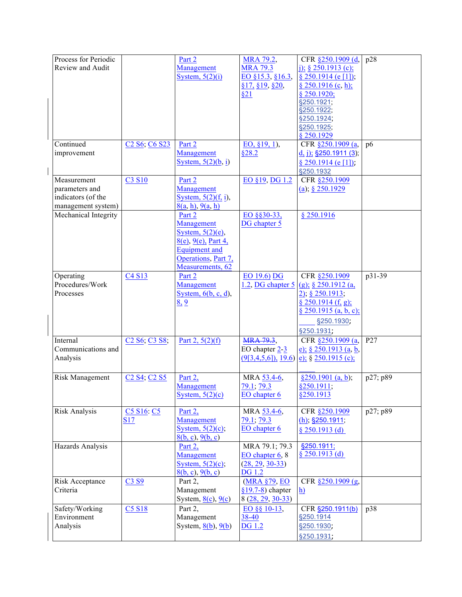| Process for Periodic   |                                                                 | Part 2                      | MRA 79.2,                            | CFR §250.1909 (d,            | p28        |
|------------------------|-----------------------------------------------------------------|-----------------------------|--------------------------------------|------------------------------|------------|
| Review and Audit       |                                                                 | Management                  | <b>MRA 79.3</b>                      | i); § 250.1913 (c);          |            |
|                        |                                                                 | System, $5(2)(i)$           | EO §15.3, §16.3,                     | § 250.1914 (e [1]);          |            |
|                        |                                                                 |                             | \$17, \$19, \$20,                    | § 250.1916 (c, h);           |            |
|                        |                                                                 |                             | \$21                                 | $§$ 250.1920;                |            |
|                        |                                                                 |                             |                                      | §250.1921;                   |            |
|                        |                                                                 |                             |                                      | §250.1922;                   |            |
|                        |                                                                 |                             |                                      | §250.1924;                   |            |
|                        |                                                                 |                             |                                      | §250.1925;                   |            |
|                        |                                                                 |                             |                                      | $§$ 250.1929                 |            |
| Continued              | C <sub>2</sub> S <sub>6</sub> ; C <sub>6</sub> S <sub>23</sub>  | Part 2                      | EO, §19, 1),                         | CFR §250.1909 (a,            | p6         |
| improvement            |                                                                 | Management                  | §28.2                                | <u>d, j); §250.1911 (3);</u> |            |
|                        |                                                                 | System, $5(2)(b, i)$        |                                      | $§$ 250.1914 (e[1]).         |            |
|                        |                                                                 |                             |                                      |                              |            |
| Measurement            | C3 S10                                                          | Part 2                      | EO §19, DG 1.2                       | §250.1932                    |            |
|                        |                                                                 |                             |                                      | CFR §250.1909                |            |
| parameters and         |                                                                 | Management                  |                                      | (a); $§ 250.1929$            |            |
| indicators (of the     |                                                                 | System, $5(2)(f, i)$ ,      |                                      |                              |            |
| management system)     |                                                                 | 8(a, h), 9(a, h)            |                                      |                              |            |
| Mechanical Integrity   |                                                                 | Part 2                      | EO §§30-33,                          | \$250.1916                   |            |
|                        |                                                                 | Management                  | DG chapter 5                         |                              |            |
|                        |                                                                 | System, $5(2)(e)$ ,         |                                      |                              |            |
|                        |                                                                 | $8(e)$ , $9(e)$ , Part 4,   |                                      |                              |            |
|                        |                                                                 | <b>Equipment</b> and        |                                      |                              |            |
|                        |                                                                 | Operations, Part 7,         |                                      |                              |            |
|                        |                                                                 | Measurements, 62            |                                      |                              |            |
| Operating              | C <sub>4</sub> S <sub>13</sub>                                  | Part 2                      | EO 19.6) DG                          | CFR §250.1909                | $p31 - 39$ |
| Procedures/Work        |                                                                 | Management                  | $1.2$ , DG chapter 5                 | (g); $§ 250.1912$ (a,        |            |
| Processes              |                                                                 | System, $6(b, c, d)$ ,      |                                      | $2)$ , § 250.1913,           |            |
|                        |                                                                 | 8, 9                        |                                      | $§$ 250.1914 (f, g);         |            |
|                        |                                                                 |                             |                                      | § 250.1915 (a, b, c);        |            |
|                        |                                                                 |                             |                                      | §250.1930;                   |            |
|                        |                                                                 |                             |                                      | §250.1931;                   |            |
| Internal               | C <sub>2</sub> S <sub>6</sub> ; C <sub>3</sub> S <sub>8</sub> ; | Part 2, $5(2)(f)$           | <b>MRA 79.3.</b>                     | CFR §250.1909 (a,            | P27        |
| Communications and     |                                                                 |                             | EO chapter $2\overline{3}$           | e); § 250.1913 (a, b,        |            |
| Analysis               |                                                                 |                             | $(9[3,4,5,6])$ , 19.6)               | e); $§ 250.1915$ (c);        |            |
|                        |                                                                 |                             |                                      |                              |            |
|                        |                                                                 | Part 2,                     |                                      |                              |            |
| <b>Risk Management</b> | C <sub>2</sub> S <sub>4</sub> ; C <sub>2</sub> S <sub>5</sub>   |                             | MRA 53.4-6,                          | §250.1901 (a, b);            | p27; p89   |
|                        |                                                                 | Management                  | 79.1; 79.3                           | §250.1911;                   |            |
|                        |                                                                 | System, $5(2)(c)$           | EO chapter 6                         | §250.1913                    |            |
| Risk Analysis          | C5 S16: C5                                                      | Part <sub>2</sub> ,         | MRA 53.4-6,                          | CFR §250.1909                | p27; p89   |
|                        | <b>S17</b>                                                      | Management                  | 79.1; 79.3                           | $(h)$ , §250.1911;           |            |
|                        |                                                                 | System, $5(2)(c)$ ;         | EO chapter 6                         |                              |            |
|                        |                                                                 |                             |                                      | § $250.1913$ (d)             |            |
| Hazards Analysis       |                                                                 | 8(b, c), 9(b, c)<br>Part 2, | MRA 79.1; 79.3                       | §250.1911;                   |            |
|                        |                                                                 | Management                  |                                      | $§ 250.1913$ (d)             |            |
|                        |                                                                 |                             | EO chapter 6, 8<br>$(28, 29, 30-33)$ |                              |            |
|                        |                                                                 | System, $5(2)(c)$ ;         |                                      |                              |            |
|                        |                                                                 | 8(b, c), 9(b, c)            | <b>DG</b> 1.2                        |                              |            |
| Risk Acceptance        | C3 S9                                                           | Part 2,                     | (MRA §79, EO                         | CFR §250.1909 (g,            |            |
| Criteria               |                                                                 | Management                  | $§19.7-8)$ chapter                   | h)                           |            |
|                        |                                                                 | System, $8(c)$ , $9(c)$     | $8(28, 29, 30-33)$                   |                              |            |
| Safety/Working         | <b>C5 S18</b>                                                   | Part 2,                     | EO §§ 10-13,                         | CFR §250.1911(b)             | p38        |
| Environment            |                                                                 | Management                  | 38-40                                | §250.1914                    |            |
| Analysis               |                                                                 | System, $8(b)$ , $9(b)$     | <b>DG</b> 1.2                        | §250.1930;                   |            |
|                        |                                                                 |                             |                                      | §250.1931;                   |            |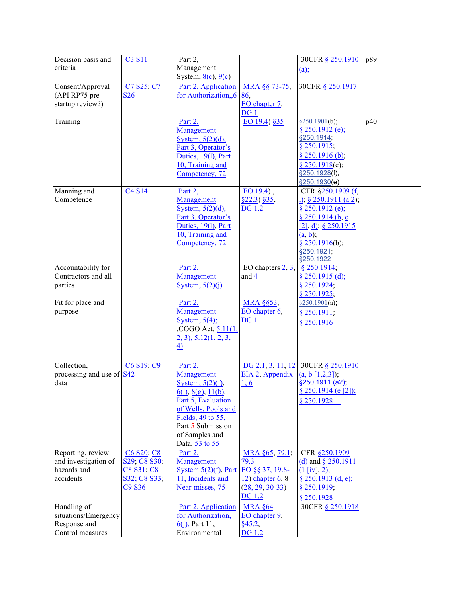| Management<br>criteria<br>(a);<br>System, $8(c)$ , $9(c)$<br>C7 S25; C7<br>Part 2, Application<br>30CFR § 250.1917<br>Consent/Approval<br>MRA §§ 73-75,<br>for Authorization,,6<br>(API RP75 pre-<br><b>S26</b><br>86,<br>startup review?)<br>EO chapter 7,<br>DG <sub>1</sub><br>EO 19.4) §35<br>Training<br>§250.1901(b);<br>p40<br>Part 2,<br>$§$ 250.1912 (e);<br>Management<br>§250.1914;<br>System, $5(2)(d)$ ,<br>$§$ 250.1915;<br>Part 3, Operator's<br>$§$ 250.1916 (b).<br>Duties, 19(1), Part<br>10, Training and<br>§ 250.1918(c);<br>§250.1928(f);<br>Competency, 72<br>§250.1930(e)<br>Manning and<br>C4 S14<br>Part 2,<br>EO 19.4),<br>CFR §250.1909 (f,<br>Competence<br>Management<br>$§22.3)$ §35,<br>i), § 250.1911 (a 2);<br><b>DG</b> 1.2<br>System, $5(2)(d)$ ,<br>$§$ 250.1912 (e);<br>Part 3, Operator's<br>§ 250.1914 (b, c)<br>Duties, 19(1), Part<br>[2], d); § 250.1915<br>10, Training and<br>$(a, b)$ ;<br>Competency, 72<br>$§$ 250.1916(b);<br>§250.1921;<br>§250.1922<br>Accountability for<br>Part 2,<br>EO chapters $2, 3$ ,<br>$§$ 250.1914;<br>Contractors and all<br>Management<br>and 4<br>$§$ 250.1915 (d);<br>parties<br>System, $5(2)(i)$<br>$§$ 250.1924;<br>§ 250.1925;<br>Fit for place and<br><b>MRA §§53</b> ,<br>Part 2,<br>$\frac{$250.1901(a)}{6}$<br>Management<br>EO chapter 6,<br>purpose<br>§ 250.1911;<br>System, $5(4)$ ;<br>DG <sub>1</sub><br>§ 250.1916<br>COGO Act, 5.11(1,<br>$2, 3$ , $5.12(1, 2, 3,$<br>$\overline{4}$<br>Collection,<br>C6 S19; C9<br>Part 2,<br>DG 2.1, 3, 11, 12<br>30CFR § 250.1910<br>processing and use of $S42$<br>Management<br>EIA <sub>2</sub> , Appendix<br>$(a, b [1, 2, 3])$ ;<br>§250.1911 (a2);<br>data<br>1, 6<br>System, $5(2)(f)$ ,<br>§ 250.1914 (e [2]);<br>$\underline{6(i)}$ , $\underline{8(g)}$ , $\underline{11(b)}$ ,<br>Part 5, Evaluation<br>\$250.1928<br>of Wells, Pools and<br>Fields, 49 to 55,<br>Part 5 Submission<br>of Samples and<br>Data, 53 to 55<br>Reporting, review<br>C6 S20; C8<br>CFR §250.1909<br>Part 2,<br>MRA $§65, 79.1;$<br>and investigation of<br>Management<br>79.3<br>S29; C8 S30;<br>(d) and $§$ 250.1911<br>hazards and<br>System $5(2)(f)$ , Part<br>C8 S31; C8<br>EO §§ 37, 19.8-<br>$(1 \text{ [iv]}, 2);$<br>accidents<br>11, Incidents and<br>$12)$ chapter 6, 8<br>S32; C8 S33;<br>$§$ 250.1913 (d, e);<br>C <sub>9</sub> S <sub>36</sub><br>Near-misses, 75<br>$(28, 29, 30-33)$<br>§ 250.1919;<br><b>DG</b> 1.2<br>§ 250.1928<br>Handling of<br>30CFR § 250.1918<br>Part 2, Application<br><b>MRA §64</b><br>situations/Emergency<br>for Authorization,<br>EO chapter 9,<br>Response and<br>$6(j)$ , Part 11,<br>§45.2, | Decision basis and | C3 S11 | Part 2,       |               | 30CFR § 250.1910 | p89 |
|-------------------------------------------------------------------------------------------------------------------------------------------------------------------------------------------------------------------------------------------------------------------------------------------------------------------------------------------------------------------------------------------------------------------------------------------------------------------------------------------------------------------------------------------------------------------------------------------------------------------------------------------------------------------------------------------------------------------------------------------------------------------------------------------------------------------------------------------------------------------------------------------------------------------------------------------------------------------------------------------------------------------------------------------------------------------------------------------------------------------------------------------------------------------------------------------------------------------------------------------------------------------------------------------------------------------------------------------------------------------------------------------------------------------------------------------------------------------------------------------------------------------------------------------------------------------------------------------------------------------------------------------------------------------------------------------------------------------------------------------------------------------------------------------------------------------------------------------------------------------------------------------------------------------------------------------------------------------------------------------------------------------------------------------------------------------------------------------------------------------------------------------------------------------------------------------------------------------------------------------------------------------------------------------------------------------------------------------------------------------------------------------------------------------------------------------------------------------------------------------------------------------------------------------------------------------------------------------------------------------------------------------------------------------------|--------------------|--------|---------------|---------------|------------------|-----|
|                                                                                                                                                                                                                                                                                                                                                                                                                                                                                                                                                                                                                                                                                                                                                                                                                                                                                                                                                                                                                                                                                                                                                                                                                                                                                                                                                                                                                                                                                                                                                                                                                                                                                                                                                                                                                                                                                                                                                                                                                                                                                                                                                                                                                                                                                                                                                                                                                                                                                                                                                                                                                                                                         |                    |        |               |               |                  |     |
|                                                                                                                                                                                                                                                                                                                                                                                                                                                                                                                                                                                                                                                                                                                                                                                                                                                                                                                                                                                                                                                                                                                                                                                                                                                                                                                                                                                                                                                                                                                                                                                                                                                                                                                                                                                                                                                                                                                                                                                                                                                                                                                                                                                                                                                                                                                                                                                                                                                                                                                                                                                                                                                                         |                    |        |               |               |                  |     |
|                                                                                                                                                                                                                                                                                                                                                                                                                                                                                                                                                                                                                                                                                                                                                                                                                                                                                                                                                                                                                                                                                                                                                                                                                                                                                                                                                                                                                                                                                                                                                                                                                                                                                                                                                                                                                                                                                                                                                                                                                                                                                                                                                                                                                                                                                                                                                                                                                                                                                                                                                                                                                                                                         |                    |        |               |               |                  |     |
|                                                                                                                                                                                                                                                                                                                                                                                                                                                                                                                                                                                                                                                                                                                                                                                                                                                                                                                                                                                                                                                                                                                                                                                                                                                                                                                                                                                                                                                                                                                                                                                                                                                                                                                                                                                                                                                                                                                                                                                                                                                                                                                                                                                                                                                                                                                                                                                                                                                                                                                                                                                                                                                                         |                    |        |               |               |                  |     |
|                                                                                                                                                                                                                                                                                                                                                                                                                                                                                                                                                                                                                                                                                                                                                                                                                                                                                                                                                                                                                                                                                                                                                                                                                                                                                                                                                                                                                                                                                                                                                                                                                                                                                                                                                                                                                                                                                                                                                                                                                                                                                                                                                                                                                                                                                                                                                                                                                                                                                                                                                                                                                                                                         |                    |        |               |               |                  |     |
|                                                                                                                                                                                                                                                                                                                                                                                                                                                                                                                                                                                                                                                                                                                                                                                                                                                                                                                                                                                                                                                                                                                                                                                                                                                                                                                                                                                                                                                                                                                                                                                                                                                                                                                                                                                                                                                                                                                                                                                                                                                                                                                                                                                                                                                                                                                                                                                                                                                                                                                                                                                                                                                                         |                    |        |               |               |                  |     |
|                                                                                                                                                                                                                                                                                                                                                                                                                                                                                                                                                                                                                                                                                                                                                                                                                                                                                                                                                                                                                                                                                                                                                                                                                                                                                                                                                                                                                                                                                                                                                                                                                                                                                                                                                                                                                                                                                                                                                                                                                                                                                                                                                                                                                                                                                                                                                                                                                                                                                                                                                                                                                                                                         |                    |        |               |               |                  |     |
|                                                                                                                                                                                                                                                                                                                                                                                                                                                                                                                                                                                                                                                                                                                                                                                                                                                                                                                                                                                                                                                                                                                                                                                                                                                                                                                                                                                                                                                                                                                                                                                                                                                                                                                                                                                                                                                                                                                                                                                                                                                                                                                                                                                                                                                                                                                                                                                                                                                                                                                                                                                                                                                                         |                    |        |               |               |                  |     |
|                                                                                                                                                                                                                                                                                                                                                                                                                                                                                                                                                                                                                                                                                                                                                                                                                                                                                                                                                                                                                                                                                                                                                                                                                                                                                                                                                                                                                                                                                                                                                                                                                                                                                                                                                                                                                                                                                                                                                                                                                                                                                                                                                                                                                                                                                                                                                                                                                                                                                                                                                                                                                                                                         |                    |        |               |               |                  |     |
|                                                                                                                                                                                                                                                                                                                                                                                                                                                                                                                                                                                                                                                                                                                                                                                                                                                                                                                                                                                                                                                                                                                                                                                                                                                                                                                                                                                                                                                                                                                                                                                                                                                                                                                                                                                                                                                                                                                                                                                                                                                                                                                                                                                                                                                                                                                                                                                                                                                                                                                                                                                                                                                                         |                    |        |               |               |                  |     |
|                                                                                                                                                                                                                                                                                                                                                                                                                                                                                                                                                                                                                                                                                                                                                                                                                                                                                                                                                                                                                                                                                                                                                                                                                                                                                                                                                                                                                                                                                                                                                                                                                                                                                                                                                                                                                                                                                                                                                                                                                                                                                                                                                                                                                                                                                                                                                                                                                                                                                                                                                                                                                                                                         |                    |        |               |               |                  |     |
|                                                                                                                                                                                                                                                                                                                                                                                                                                                                                                                                                                                                                                                                                                                                                                                                                                                                                                                                                                                                                                                                                                                                                                                                                                                                                                                                                                                                                                                                                                                                                                                                                                                                                                                                                                                                                                                                                                                                                                                                                                                                                                                                                                                                                                                                                                                                                                                                                                                                                                                                                                                                                                                                         |                    |        |               |               |                  |     |
|                                                                                                                                                                                                                                                                                                                                                                                                                                                                                                                                                                                                                                                                                                                                                                                                                                                                                                                                                                                                                                                                                                                                                                                                                                                                                                                                                                                                                                                                                                                                                                                                                                                                                                                                                                                                                                                                                                                                                                                                                                                                                                                                                                                                                                                                                                                                                                                                                                                                                                                                                                                                                                                                         |                    |        |               |               |                  |     |
|                                                                                                                                                                                                                                                                                                                                                                                                                                                                                                                                                                                                                                                                                                                                                                                                                                                                                                                                                                                                                                                                                                                                                                                                                                                                                                                                                                                                                                                                                                                                                                                                                                                                                                                                                                                                                                                                                                                                                                                                                                                                                                                                                                                                                                                                                                                                                                                                                                                                                                                                                                                                                                                                         |                    |        |               |               |                  |     |
|                                                                                                                                                                                                                                                                                                                                                                                                                                                                                                                                                                                                                                                                                                                                                                                                                                                                                                                                                                                                                                                                                                                                                                                                                                                                                                                                                                                                                                                                                                                                                                                                                                                                                                                                                                                                                                                                                                                                                                                                                                                                                                                                                                                                                                                                                                                                                                                                                                                                                                                                                                                                                                                                         |                    |        |               |               |                  |     |
|                                                                                                                                                                                                                                                                                                                                                                                                                                                                                                                                                                                                                                                                                                                                                                                                                                                                                                                                                                                                                                                                                                                                                                                                                                                                                                                                                                                                                                                                                                                                                                                                                                                                                                                                                                                                                                                                                                                                                                                                                                                                                                                                                                                                                                                                                                                                                                                                                                                                                                                                                                                                                                                                         |                    |        |               |               |                  |     |
|                                                                                                                                                                                                                                                                                                                                                                                                                                                                                                                                                                                                                                                                                                                                                                                                                                                                                                                                                                                                                                                                                                                                                                                                                                                                                                                                                                                                                                                                                                                                                                                                                                                                                                                                                                                                                                                                                                                                                                                                                                                                                                                                                                                                                                                                                                                                                                                                                                                                                                                                                                                                                                                                         |                    |        |               |               |                  |     |
|                                                                                                                                                                                                                                                                                                                                                                                                                                                                                                                                                                                                                                                                                                                                                                                                                                                                                                                                                                                                                                                                                                                                                                                                                                                                                                                                                                                                                                                                                                                                                                                                                                                                                                                                                                                                                                                                                                                                                                                                                                                                                                                                                                                                                                                                                                                                                                                                                                                                                                                                                                                                                                                                         |                    |        |               |               |                  |     |
|                                                                                                                                                                                                                                                                                                                                                                                                                                                                                                                                                                                                                                                                                                                                                                                                                                                                                                                                                                                                                                                                                                                                                                                                                                                                                                                                                                                                                                                                                                                                                                                                                                                                                                                                                                                                                                                                                                                                                                                                                                                                                                                                                                                                                                                                                                                                                                                                                                                                                                                                                                                                                                                                         |                    |        |               |               |                  |     |
|                                                                                                                                                                                                                                                                                                                                                                                                                                                                                                                                                                                                                                                                                                                                                                                                                                                                                                                                                                                                                                                                                                                                                                                                                                                                                                                                                                                                                                                                                                                                                                                                                                                                                                                                                                                                                                                                                                                                                                                                                                                                                                                                                                                                                                                                                                                                                                                                                                                                                                                                                                                                                                                                         |                    |        |               |               |                  |     |
|                                                                                                                                                                                                                                                                                                                                                                                                                                                                                                                                                                                                                                                                                                                                                                                                                                                                                                                                                                                                                                                                                                                                                                                                                                                                                                                                                                                                                                                                                                                                                                                                                                                                                                                                                                                                                                                                                                                                                                                                                                                                                                                                                                                                                                                                                                                                                                                                                                                                                                                                                                                                                                                                         |                    |        |               |               |                  |     |
|                                                                                                                                                                                                                                                                                                                                                                                                                                                                                                                                                                                                                                                                                                                                                                                                                                                                                                                                                                                                                                                                                                                                                                                                                                                                                                                                                                                                                                                                                                                                                                                                                                                                                                                                                                                                                                                                                                                                                                                                                                                                                                                                                                                                                                                                                                                                                                                                                                                                                                                                                                                                                                                                         |                    |        |               |               |                  |     |
|                                                                                                                                                                                                                                                                                                                                                                                                                                                                                                                                                                                                                                                                                                                                                                                                                                                                                                                                                                                                                                                                                                                                                                                                                                                                                                                                                                                                                                                                                                                                                                                                                                                                                                                                                                                                                                                                                                                                                                                                                                                                                                                                                                                                                                                                                                                                                                                                                                                                                                                                                                                                                                                                         |                    |        |               |               |                  |     |
|                                                                                                                                                                                                                                                                                                                                                                                                                                                                                                                                                                                                                                                                                                                                                                                                                                                                                                                                                                                                                                                                                                                                                                                                                                                                                                                                                                                                                                                                                                                                                                                                                                                                                                                                                                                                                                                                                                                                                                                                                                                                                                                                                                                                                                                                                                                                                                                                                                                                                                                                                                                                                                                                         |                    |        |               |               |                  |     |
|                                                                                                                                                                                                                                                                                                                                                                                                                                                                                                                                                                                                                                                                                                                                                                                                                                                                                                                                                                                                                                                                                                                                                                                                                                                                                                                                                                                                                                                                                                                                                                                                                                                                                                                                                                                                                                                                                                                                                                                                                                                                                                                                                                                                                                                                                                                                                                                                                                                                                                                                                                                                                                                                         |                    |        |               |               |                  |     |
|                                                                                                                                                                                                                                                                                                                                                                                                                                                                                                                                                                                                                                                                                                                                                                                                                                                                                                                                                                                                                                                                                                                                                                                                                                                                                                                                                                                                                                                                                                                                                                                                                                                                                                                                                                                                                                                                                                                                                                                                                                                                                                                                                                                                                                                                                                                                                                                                                                                                                                                                                                                                                                                                         |                    |        |               |               |                  |     |
|                                                                                                                                                                                                                                                                                                                                                                                                                                                                                                                                                                                                                                                                                                                                                                                                                                                                                                                                                                                                                                                                                                                                                                                                                                                                                                                                                                                                                                                                                                                                                                                                                                                                                                                                                                                                                                                                                                                                                                                                                                                                                                                                                                                                                                                                                                                                                                                                                                                                                                                                                                                                                                                                         |                    |        |               |               |                  |     |
|                                                                                                                                                                                                                                                                                                                                                                                                                                                                                                                                                                                                                                                                                                                                                                                                                                                                                                                                                                                                                                                                                                                                                                                                                                                                                                                                                                                                                                                                                                                                                                                                                                                                                                                                                                                                                                                                                                                                                                                                                                                                                                                                                                                                                                                                                                                                                                                                                                                                                                                                                                                                                                                                         |                    |        |               |               |                  |     |
|                                                                                                                                                                                                                                                                                                                                                                                                                                                                                                                                                                                                                                                                                                                                                                                                                                                                                                                                                                                                                                                                                                                                                                                                                                                                                                                                                                                                                                                                                                                                                                                                                                                                                                                                                                                                                                                                                                                                                                                                                                                                                                                                                                                                                                                                                                                                                                                                                                                                                                                                                                                                                                                                         |                    |        |               |               |                  |     |
|                                                                                                                                                                                                                                                                                                                                                                                                                                                                                                                                                                                                                                                                                                                                                                                                                                                                                                                                                                                                                                                                                                                                                                                                                                                                                                                                                                                                                                                                                                                                                                                                                                                                                                                                                                                                                                                                                                                                                                                                                                                                                                                                                                                                                                                                                                                                                                                                                                                                                                                                                                                                                                                                         |                    |        |               |               |                  |     |
|                                                                                                                                                                                                                                                                                                                                                                                                                                                                                                                                                                                                                                                                                                                                                                                                                                                                                                                                                                                                                                                                                                                                                                                                                                                                                                                                                                                                                                                                                                                                                                                                                                                                                                                                                                                                                                                                                                                                                                                                                                                                                                                                                                                                                                                                                                                                                                                                                                                                                                                                                                                                                                                                         |                    |        |               |               |                  |     |
|                                                                                                                                                                                                                                                                                                                                                                                                                                                                                                                                                                                                                                                                                                                                                                                                                                                                                                                                                                                                                                                                                                                                                                                                                                                                                                                                                                                                                                                                                                                                                                                                                                                                                                                                                                                                                                                                                                                                                                                                                                                                                                                                                                                                                                                                                                                                                                                                                                                                                                                                                                                                                                                                         |                    |        |               |               |                  |     |
|                                                                                                                                                                                                                                                                                                                                                                                                                                                                                                                                                                                                                                                                                                                                                                                                                                                                                                                                                                                                                                                                                                                                                                                                                                                                                                                                                                                                                                                                                                                                                                                                                                                                                                                                                                                                                                                                                                                                                                                                                                                                                                                                                                                                                                                                                                                                                                                                                                                                                                                                                                                                                                                                         |                    |        |               |               |                  |     |
|                                                                                                                                                                                                                                                                                                                                                                                                                                                                                                                                                                                                                                                                                                                                                                                                                                                                                                                                                                                                                                                                                                                                                                                                                                                                                                                                                                                                                                                                                                                                                                                                                                                                                                                                                                                                                                                                                                                                                                                                                                                                                                                                                                                                                                                                                                                                                                                                                                                                                                                                                                                                                                                                         |                    |        |               |               |                  |     |
|                                                                                                                                                                                                                                                                                                                                                                                                                                                                                                                                                                                                                                                                                                                                                                                                                                                                                                                                                                                                                                                                                                                                                                                                                                                                                                                                                                                                                                                                                                                                                                                                                                                                                                                                                                                                                                                                                                                                                                                                                                                                                                                                                                                                                                                                                                                                                                                                                                                                                                                                                                                                                                                                         |                    |        |               |               |                  |     |
|                                                                                                                                                                                                                                                                                                                                                                                                                                                                                                                                                                                                                                                                                                                                                                                                                                                                                                                                                                                                                                                                                                                                                                                                                                                                                                                                                                                                                                                                                                                                                                                                                                                                                                                                                                                                                                                                                                                                                                                                                                                                                                                                                                                                                                                                                                                                                                                                                                                                                                                                                                                                                                                                         |                    |        |               |               |                  |     |
|                                                                                                                                                                                                                                                                                                                                                                                                                                                                                                                                                                                                                                                                                                                                                                                                                                                                                                                                                                                                                                                                                                                                                                                                                                                                                                                                                                                                                                                                                                                                                                                                                                                                                                                                                                                                                                                                                                                                                                                                                                                                                                                                                                                                                                                                                                                                                                                                                                                                                                                                                                                                                                                                         |                    |        |               |               |                  |     |
|                                                                                                                                                                                                                                                                                                                                                                                                                                                                                                                                                                                                                                                                                                                                                                                                                                                                                                                                                                                                                                                                                                                                                                                                                                                                                                                                                                                                                                                                                                                                                                                                                                                                                                                                                                                                                                                                                                                                                                                                                                                                                                                                                                                                                                                                                                                                                                                                                                                                                                                                                                                                                                                                         |                    |        |               |               |                  |     |
|                                                                                                                                                                                                                                                                                                                                                                                                                                                                                                                                                                                                                                                                                                                                                                                                                                                                                                                                                                                                                                                                                                                                                                                                                                                                                                                                                                                                                                                                                                                                                                                                                                                                                                                                                                                                                                                                                                                                                                                                                                                                                                                                                                                                                                                                                                                                                                                                                                                                                                                                                                                                                                                                         |                    |        |               |               |                  |     |
|                                                                                                                                                                                                                                                                                                                                                                                                                                                                                                                                                                                                                                                                                                                                                                                                                                                                                                                                                                                                                                                                                                                                                                                                                                                                                                                                                                                                                                                                                                                                                                                                                                                                                                                                                                                                                                                                                                                                                                                                                                                                                                                                                                                                                                                                                                                                                                                                                                                                                                                                                                                                                                                                         |                    |        |               |               |                  |     |
|                                                                                                                                                                                                                                                                                                                                                                                                                                                                                                                                                                                                                                                                                                                                                                                                                                                                                                                                                                                                                                                                                                                                                                                                                                                                                                                                                                                                                                                                                                                                                                                                                                                                                                                                                                                                                                                                                                                                                                                                                                                                                                                                                                                                                                                                                                                                                                                                                                                                                                                                                                                                                                                                         |                    |        |               |               |                  |     |
|                                                                                                                                                                                                                                                                                                                                                                                                                                                                                                                                                                                                                                                                                                                                                                                                                                                                                                                                                                                                                                                                                                                                                                                                                                                                                                                                                                                                                                                                                                                                                                                                                                                                                                                                                                                                                                                                                                                                                                                                                                                                                                                                                                                                                                                                                                                                                                                                                                                                                                                                                                                                                                                                         |                    |        |               |               |                  |     |
|                                                                                                                                                                                                                                                                                                                                                                                                                                                                                                                                                                                                                                                                                                                                                                                                                                                                                                                                                                                                                                                                                                                                                                                                                                                                                                                                                                                                                                                                                                                                                                                                                                                                                                                                                                                                                                                                                                                                                                                                                                                                                                                                                                                                                                                                                                                                                                                                                                                                                                                                                                                                                                                                         |                    |        |               |               |                  |     |
|                                                                                                                                                                                                                                                                                                                                                                                                                                                                                                                                                                                                                                                                                                                                                                                                                                                                                                                                                                                                                                                                                                                                                                                                                                                                                                                                                                                                                                                                                                                                                                                                                                                                                                                                                                                                                                                                                                                                                                                                                                                                                                                                                                                                                                                                                                                                                                                                                                                                                                                                                                                                                                                                         |                    |        |               |               |                  |     |
|                                                                                                                                                                                                                                                                                                                                                                                                                                                                                                                                                                                                                                                                                                                                                                                                                                                                                                                                                                                                                                                                                                                                                                                                                                                                                                                                                                                                                                                                                                                                                                                                                                                                                                                                                                                                                                                                                                                                                                                                                                                                                                                                                                                                                                                                                                                                                                                                                                                                                                                                                                                                                                                                         |                    |        |               |               |                  |     |
|                                                                                                                                                                                                                                                                                                                                                                                                                                                                                                                                                                                                                                                                                                                                                                                                                                                                                                                                                                                                                                                                                                                                                                                                                                                                                                                                                                                                                                                                                                                                                                                                                                                                                                                                                                                                                                                                                                                                                                                                                                                                                                                                                                                                                                                                                                                                                                                                                                                                                                                                                                                                                                                                         |                    |        |               |               |                  |     |
|                                                                                                                                                                                                                                                                                                                                                                                                                                                                                                                                                                                                                                                                                                                                                                                                                                                                                                                                                                                                                                                                                                                                                                                                                                                                                                                                                                                                                                                                                                                                                                                                                                                                                                                                                                                                                                                                                                                                                                                                                                                                                                                                                                                                                                                                                                                                                                                                                                                                                                                                                                                                                                                                         |                    |        |               |               |                  |     |
|                                                                                                                                                                                                                                                                                                                                                                                                                                                                                                                                                                                                                                                                                                                                                                                                                                                                                                                                                                                                                                                                                                                                                                                                                                                                                                                                                                                                                                                                                                                                                                                                                                                                                                                                                                                                                                                                                                                                                                                                                                                                                                                                                                                                                                                                                                                                                                                                                                                                                                                                                                                                                                                                         |                    |        |               |               |                  |     |
|                                                                                                                                                                                                                                                                                                                                                                                                                                                                                                                                                                                                                                                                                                                                                                                                                                                                                                                                                                                                                                                                                                                                                                                                                                                                                                                                                                                                                                                                                                                                                                                                                                                                                                                                                                                                                                                                                                                                                                                                                                                                                                                                                                                                                                                                                                                                                                                                                                                                                                                                                                                                                                                                         |                    |        |               |               |                  |     |
|                                                                                                                                                                                                                                                                                                                                                                                                                                                                                                                                                                                                                                                                                                                                                                                                                                                                                                                                                                                                                                                                                                                                                                                                                                                                                                                                                                                                                                                                                                                                                                                                                                                                                                                                                                                                                                                                                                                                                                                                                                                                                                                                                                                                                                                                                                                                                                                                                                                                                                                                                                                                                                                                         |                    |        |               |               |                  |     |
|                                                                                                                                                                                                                                                                                                                                                                                                                                                                                                                                                                                                                                                                                                                                                                                                                                                                                                                                                                                                                                                                                                                                                                                                                                                                                                                                                                                                                                                                                                                                                                                                                                                                                                                                                                                                                                                                                                                                                                                                                                                                                                                                                                                                                                                                                                                                                                                                                                                                                                                                                                                                                                                                         |                    |        |               |               |                  |     |
|                                                                                                                                                                                                                                                                                                                                                                                                                                                                                                                                                                                                                                                                                                                                                                                                                                                                                                                                                                                                                                                                                                                                                                                                                                                                                                                                                                                                                                                                                                                                                                                                                                                                                                                                                                                                                                                                                                                                                                                                                                                                                                                                                                                                                                                                                                                                                                                                                                                                                                                                                                                                                                                                         |                    |        |               |               |                  |     |
|                                                                                                                                                                                                                                                                                                                                                                                                                                                                                                                                                                                                                                                                                                                                                                                                                                                                                                                                                                                                                                                                                                                                                                                                                                                                                                                                                                                                                                                                                                                                                                                                                                                                                                                                                                                                                                                                                                                                                                                                                                                                                                                                                                                                                                                                                                                                                                                                                                                                                                                                                                                                                                                                         |                    |        |               |               |                  |     |
|                                                                                                                                                                                                                                                                                                                                                                                                                                                                                                                                                                                                                                                                                                                                                                                                                                                                                                                                                                                                                                                                                                                                                                                                                                                                                                                                                                                                                                                                                                                                                                                                                                                                                                                                                                                                                                                                                                                                                                                                                                                                                                                                                                                                                                                                                                                                                                                                                                                                                                                                                                                                                                                                         |                    |        |               |               |                  |     |
|                                                                                                                                                                                                                                                                                                                                                                                                                                                                                                                                                                                                                                                                                                                                                                                                                                                                                                                                                                                                                                                                                                                                                                                                                                                                                                                                                                                                                                                                                                                                                                                                                                                                                                                                                                                                                                                                                                                                                                                                                                                                                                                                                                                                                                                                                                                                                                                                                                                                                                                                                                                                                                                                         |                    |        |               |               |                  |     |
|                                                                                                                                                                                                                                                                                                                                                                                                                                                                                                                                                                                                                                                                                                                                                                                                                                                                                                                                                                                                                                                                                                                                                                                                                                                                                                                                                                                                                                                                                                                                                                                                                                                                                                                                                                                                                                                                                                                                                                                                                                                                                                                                                                                                                                                                                                                                                                                                                                                                                                                                                                                                                                                                         |                    |        |               |               |                  |     |
|                                                                                                                                                                                                                                                                                                                                                                                                                                                                                                                                                                                                                                                                                                                                                                                                                                                                                                                                                                                                                                                                                                                                                                                                                                                                                                                                                                                                                                                                                                                                                                                                                                                                                                                                                                                                                                                                                                                                                                                                                                                                                                                                                                                                                                                                                                                                                                                                                                                                                                                                                                                                                                                                         |                    |        |               |               |                  |     |
|                                                                                                                                                                                                                                                                                                                                                                                                                                                                                                                                                                                                                                                                                                                                                                                                                                                                                                                                                                                                                                                                                                                                                                                                                                                                                                                                                                                                                                                                                                                                                                                                                                                                                                                                                                                                                                                                                                                                                                                                                                                                                                                                                                                                                                                                                                                                                                                                                                                                                                                                                                                                                                                                         | Control measures   |        | Environmental | <b>DG</b> 1.2 |                  |     |

 $\overline{\phantom{a}}$ 

 $\overline{\phantom{a}}$ 

 $\overline{\phantom{a}}$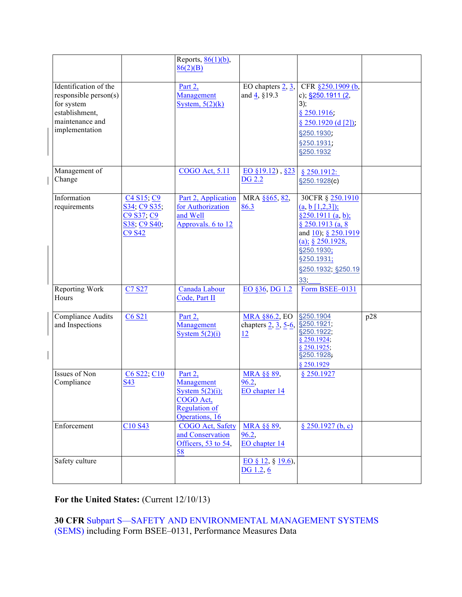|                                                                                                                     |                                                                                                                                              | Reports, $86(1)(b)$ ,<br>86(2)(B)                                                                  |                                                                     |                                                                                                                                                                                         |     |
|---------------------------------------------------------------------------------------------------------------------|----------------------------------------------------------------------------------------------------------------------------------------------|----------------------------------------------------------------------------------------------------|---------------------------------------------------------------------|-----------------------------------------------------------------------------------------------------------------------------------------------------------------------------------------|-----|
| Identification of the<br>responsible person(s)<br>for system<br>establishment,<br>maintenance and<br>implementation |                                                                                                                                              | Part 2,<br>Management<br>System, $5(2)(k)$                                                         | EO chapters $2, 3$ ,<br>and $\frac{4}{5}$ , §19.3                   | CFR §250.1909 (b,<br>c); $§250.1911(2,$<br>3);<br>$§$ 250.1916;<br>$§ 250.1920$ (d [2]);<br>§250.1930;<br>§250.1931;<br>§250.1932                                                       |     |
| Management of<br>Change                                                                                             |                                                                                                                                              | <b>COGO Act, 5.11</b>                                                                              | $\underline{EO \; §19.12}$ , §23<br><b>DG 2.2</b>                   | \$250.1912:<br>§250.1928(c)                                                                                                                                                             |     |
| Information<br>requirements                                                                                         | C <sub>4</sub> S <sub>15</sub> ; C <sub>9</sub><br>S34, C9 S35,<br>C <sub>9</sub> S <sub>37</sub> ; C <sub>9</sub><br>S38, C9 S40,<br>C9 S42 | Part 2, Application<br>for Authorization<br>and Well<br>Approvals. 6 to 12                         | MRA §§65, 82,<br>86.3                                               | 30CFR § 250.1910<br>$(a, b [1,2,3])$ ;<br>§250.1911 (a, b);<br>$§$ 250.1913 (a, 8<br>and 10); § 250.1919<br>(a); $§$ 250.1928,<br>§250.1930;<br>§250.1931;<br>§250.1932; §250.19<br>33; |     |
| Reporting Work<br>Hours                                                                                             | C7 S27                                                                                                                                       | Canada Labour<br>Code, Part II                                                                     | EO §36, DG 1.2                                                      | Form BSEE-0131                                                                                                                                                                          |     |
| <b>Compliance Audits</b><br>and Inspections                                                                         | C6 S21                                                                                                                                       | Part 2,<br>Management<br>System $5(2)(i)$                                                          | MRA §86.2, EO §250.1904<br>chapters $2, 3, 5, 6,$<br>$\frac{12}{2}$ | §250.1921;<br>§250.1922;<br>§ 250.1924;<br>$§$ 250.1925;<br>§250.1928;<br>§ 250.1929                                                                                                    | p28 |
| Issues of Non<br>Compliance                                                                                         | C6 S22; C10<br>S43                                                                                                                           | Part 2,<br>Management<br>System $5(2)(i)$ ;<br>COGO Act,<br><b>Regulation of</b><br>Operations, 16 | <b>MRA §§ 89,</b><br>96.2,<br>EO chapter 14                         | § 250.1927                                                                                                                                                                              |     |
| Enforcement                                                                                                         | C10 S43                                                                                                                                      | COGO Act, Safety<br>and Conservation<br>Officers, 53 to 54,<br>58                                  | MRA §§ 89,<br>96.2,<br>EO chapter 14                                | § 250.1927(b, c)                                                                                                                                                                        |     |
| Safety culture                                                                                                      |                                                                                                                                              |                                                                                                    | EO § 12, § 19.6),<br>DG 1.2, 6                                      |                                                                                                                                                                                         |     |

# For the United States: (Current 12/10/13)

## **30 CFR** Subpart S—SAFETY AND ENVIRONMENTAL MANAGEMENT SYSTEMS (SEMS) including Form BSEE–0131, Performance Measures Data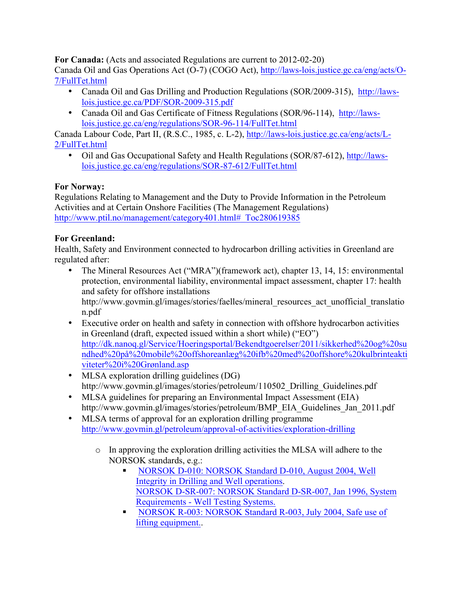**For Canada:** (Acts and associated Regulations are current to 2012-02-20)

Canada Oil and Gas Operations Act (O-7) (COGO Act), http://laws-lois.justice.gc.ca/eng/acts/O-7/FullTet.html

- Canada Oil and Gas Drilling and Production Regulations (SOR/2009-315), http://lawslois.justice.gc.ca/PDF/SOR-2009-315.pdf
- Canada Oil and Gas Certificate of Fitness Regulations (SOR/96-114), http://lawslois.justice.gc.ca/eng/regulations/SOR-96-114/FullTet.html

Canada Labour Code, Part II, (R.S.C., 1985, c. L-2), http://laws-lois.justice.gc.ca/eng/acts/L-2/FullTet.html

• Oil and Gas Occupational Safety and Health Regulations (SOR/87-612), http://lawslois.justice.gc.ca/eng/regulations/SOR-87-612/FullTet.html

### **For Norway:**

Regulations Relating to Management and the Duty to Provide Information in the Petroleum Activities and at Certain Onshore Facilities (The Management Regulations) http://www.ptil.no/management/category401.html# Toc280619385

### **For Greenland:**

Health, Safety and Environment connected to hydrocarbon drilling activities in Greenland are regulated after:

- The Mineral Resources Act ("MRA")(framework act), chapter 13, 14, 15: environmental protection, environmental liability, environmental impact assessment, chapter 17: health and safety for offshore installations http://www.govmin.gl/images/stories/faelles/mineral\_resources\_act\_unofficial\_translatio n.pdf
- Executive order on health and safety in connection with offshore hydrocarbon activities in Greenland (draft, expected issued within a short while) ("EO") http://dk.nanoq.gl/Service/Hoeringsportal/Bekendtgoerelser/2011/sikkerhed%20og%20su ndhed%20på%20mobile%20offshoreanlæg%20ifb%20med%20offshore%20kulbrinteakti viteter%20i%20Grønland.asp
- MLSA exploration drilling guidelines (DG) http://www.govmin.gl/images/stories/petroleum/110502 Drilling Guidelines.pdf
- MLSA guidelines for preparing an Environmental Impact Assessment (EIA) http://www.govmin.gl/images/stories/petroleum/BMP\_EIA\_Guidelines\_Jan\_2011.pdf
- MLSA terms of approval for an exploration drilling programme http://www.govmin.gl/petroleum/approval-of-activities/exploration-drilling
	- o In approving the exploration drilling activities the MLSA will adhere to the NORSOK standards, e.g.:
		- § NORSOK D-010: NORSOK Standard D-010, August 2004, Well Integrity in Drilling and Well operations. NORSOK D-SR-007: NORSOK Standard D-SR-007, Jan 1996, System Requirements - Well Testing Systems.
		- **NORSOK R-003: NORSOK Standard R-003, July 2004, Safe use of** lifting equipment..